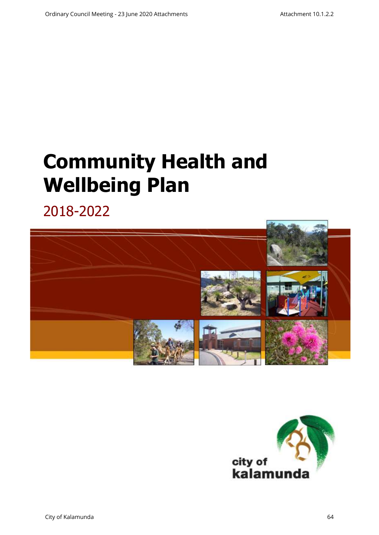# **Community Health and Wellbeing Plan**

2018-2022



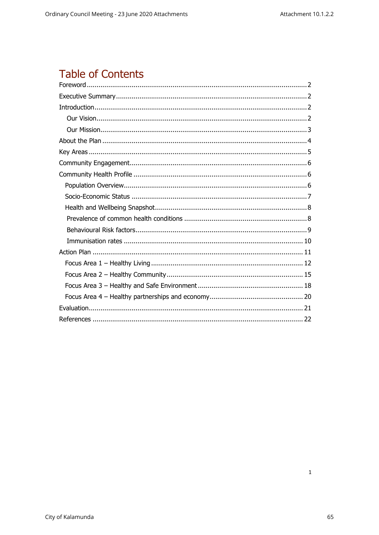# **Table of Contents**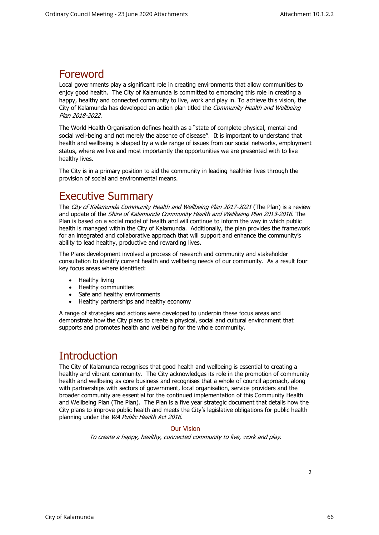### <span id="page-2-0"></span>Foreword

Local governments play a significant role in creating environments that allow communities to enjoy good health. The City of Kalamunda is committed to embracing this role in creating a happy, healthy and connected community to live, work and play in. To achieve this vision, the City of Kalamunda has developed an action plan titled the Community Health and Wellbeing Plan 2018-2022.

The World Health Organisation defines health as a "state of complete physical, mental and social well-being and not merely the absence of disease". It is important to understand that health and wellbeing is shaped by a wide range of issues from our social networks, employment status, where we live and most importantly the opportunities we are presented with to live healthy lives.

<span id="page-2-1"></span>The City is in a primary position to aid the community in leading healthier lives through the provision of social and environmental means.

### Executive Summary

The City of Kalamunda Community Health and Wellbeing Plan 2017-2021 (The Plan) is a review and update of the Shire of Kalamunda Community Health and Wellbeing Plan 2013-2016. The Plan is based on a social model of health and will continue to inform the way in which public health is managed within the City of Kalamunda. Additionally, the plan provides the framework for an integrated and collaborative approach that will support and enhance the community's ability to lead healthy, productive and rewarding lives.

The Plans development involved a process of research and community and stakeholder consultation to identify current health and wellbeing needs of our community. As a result four key focus areas where identified:

- Healthy living
- Healthy communities
- Safe and healthy environments
- Healthy partnerships and healthy economy

A range of strategies and actions were developed to underpin these focus areas and demonstrate how the City plans to create a physical, social and cultural environment that supports and promotes health and wellbeing for the whole community.

### **Introduction**

<span id="page-2-2"></span>The City of Kalamunda recognises that good health and wellbeing is essential to creating a healthy and vibrant community. The City acknowledges its role in the promotion of community health and wellbeing as core business and recognises that a whole of council approach, along with partnerships with sectors of government, local organisation, service providers and the broader community are essential for the continued implementation of this Community Health and Wellbeing Plan (The Plan). The Plan is a five year strategic document that details how the City plans to improve public health and meets the City's legislative obligations for public health planning under the WA Public Health Act 2016.

#### Our Vision

<span id="page-2-3"></span>To create a happy, healthy, connected community to live, work and play.

 $\overline{2}$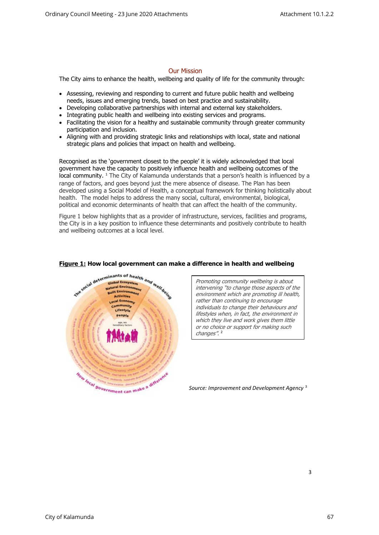#### Our Mission

<span id="page-3-0"></span>The City aims to enhance the health, wellbeing and quality of life for the community through:

- Assessing, reviewing and responding to current and future public health and wellbeing needs, issues and emerging trends, based on best practice and sustainability.
- Developing collaborative partnerships with internal and external key stakeholders.
- Integrating public health and wellbeing into existing services and programs.
- Facilitating the vision for a healthy and sustainable community through greater community participation and inclusion.
- Aligning with and providing strategic links and relationships with local, state and national strategic plans and policies that impact on health and wellbeing.

Recognised as the 'government closest to the people' it is widely acknowledged that local government have the capacity to positively influence health and wellbeing outcomes of the local community. <sup>1</sup> The City of Kalamunda understands that a person's health is influenced by a range of factors, and goes beyond just the mere absence of disease. The Plan has been developed using a Social Model of Health, a conceptual framework for thinking holistically about health. The model helps to address the many social, cultural, environmental, biological, political and economic determinants of health that can affect the health of the community.

Figure 1 below highlights that as a provider of infrastructure, services, facilities and programs, the City is in a key position to influence these determinants and positively contribute to health and wellbeing outcomes at a local level.



#### **Figure 1: How local government can make a difference in health and wellbeing**

Promoting community wellbeing is about intervening "to change those aspects of th<sup>e</sup> environment which are promoting ill health, rather than continuing to encourage individuals to change their behaviours and lifestyles when, in fact, the environment in which they live and work gives them little or no choice or support for making such changes". 2

*Source: Improvement and Development Agency* <sup>3</sup>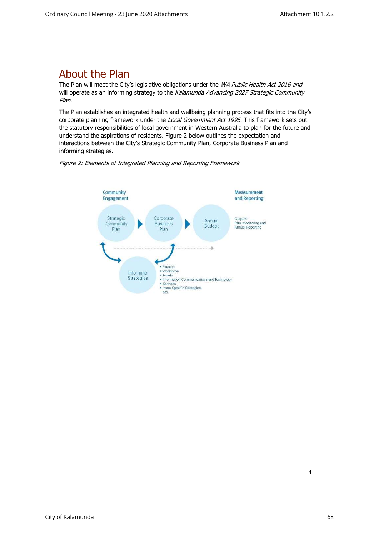# <span id="page-4-0"></span>About the Plan

The Plan will meet the City's legislative obligations under the WA Public Health Act 2016 and will operate as an informing strategy to the Kalamunda Advancing 2027 Strategic Community Plan.

The Plan establishes an integrated health and wellbeing planning process that fits into the City's corporate planning framework under the Local Government Act 1995. This framework sets out the statutory responsibilities of local government in Western Australia to plan for the future and understand the aspirations of residents. Figure 2 below outlines the expectation and interactions between the City's Strategic Community Plan, Corporate Business Plan and informing strategies.



Figure 2: Elements of Integrated Planning and Reporting Framework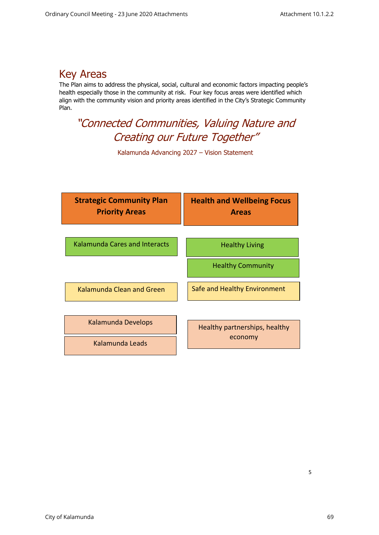## <span id="page-5-0"></span>Key Areas

The Plan aims to address the physical, social, cultural and economic factors impacting people's health especially those in the community at risk. Four key focus areas were identified which align with the community vision and priority areas identified in the City's Strategic Community Plan.

# "Connected Communities, Valuing Nature and Creating our Future Together"

Kalamunda Advancing 2027 – Vision Statement

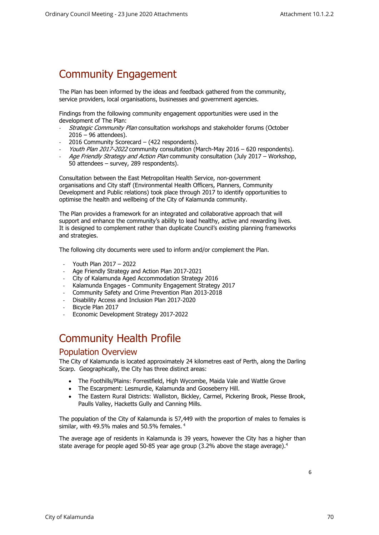# <span id="page-6-0"></span>Community Engagement

The Plan has been informed by the ideas and feedback gathered from the community, service providers, local organisations, businesses and government agencies.

Findings from the following community engagement opportunities were used in the development of The Plan:

- Strategic Community Plan consultation workshops and stakeholder forums (October 2016 – 96 attendees).
- 2016 Community Scorecard (422 respondents).
- Youth Plan 2017-2022 community consultation (March-May 2016 620 respondents).
- Age Friendly Strategy and Action Plan community consultation (July 2017 Workshop, 50 attendees – survey, 289 respondents).

Consultation between the East Metropolitan Health Service, non-government organisations and City staff (Environmental Health Officers, Planners, Community Development and Public relations) took place through 2017 to identify opportunities to optimise the health and wellbeing of the City of Kalamunda community.

The Plan provides a framework for an integrated and collaborative approach that will support and enhance the community's ability to lead healthy, active and rewarding lives. It is designed to complement rather than duplicate Council's existing planning frameworks and strategies.

The following city documents were used to inform and/or complement the Plan.

- Youth Plan 2017 2022
- Age Friendly Strategy and Action Plan 2017-2021
- City of Kalamunda Aged Accommodation Strategy 2016
- Kalamunda Engages Community Engagement Strategy 2017
- Community Safety and Crime Prevention Plan 2013-2018
- Disability Access and Inclusion Plan 2017-2020
- Bicycle Plan 2017
- Economic Development Strategy 2017-2022

# <span id="page-6-1"></span>Community Health Profile

#### Population Overview

<span id="page-6-2"></span>The City of Kalamunda is located approximately 24 kilometres east of Perth, along the Darling Scarp. Geographically, the City has three distinct areas:

- The Foothills/Plains: Forrestfield, High Wycombe, Maida Vale and Wattle Grove
- The Escarpment: Lesmurdie, Kalamunda and Gooseberry Hill.
- The Eastern Rural Districts: Walliston, Bickley, Carmel, Pickering Brook, Piesse Brook, Paulls Valley, Hacketts Gully and Canning Mills.

The population of the City of Kalamunda is 57,449 with the proportion of males to females is similar, with 49.5% males and 50.5% females. <sup>4</sup>

The average age of residents in Kalamunda is 39 years, however the City has a higher than state average for people aged 50-85 year age group (3.2% above the stage average).<sup>4</sup>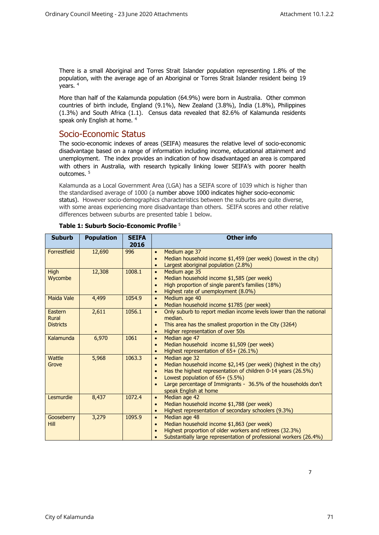There is a small Aboriginal and Torres Strait Islander population representing 1.8% of the population, with the average age of an Aboriginal or Torres Strait Islander resident being 19 years. <sup>4</sup>

<span id="page-7-0"></span>More than half of the Kalamunda population (64.9%) were born in Australia. Other common countries of birth include, England (9.1%), New Zealand (3.8%), India (1.8%), Philippines (1.3%) and South Africa (1.1). Census data revealed that 82.6% of Kalamunda residents speak only English at home. <sup>4</sup>

#### Socio-Economic Status

The socio-economic indexes of areas (SEIFA) measures the relative level of socio-economic disadvantage based on a range of information including income, educational attainment and unemployment. The index provides an indication of how disadvantaged an area is compared with others in Australia, with research typically linking lower SEIFA's with poorer health  $\text{outcomes}$ <sup>5</sup>

Kalamunda as a Local Government Area (LGA) has a SEIFA score of 1039 which is higher than the standardised average of 1000 (a number above 1000 indicates higher socio-economic status). However socio-demographics characteristics between the suburbs are quite diverse, with some areas experiencing more disadvantage than others. SEIFA scores and other relative differences between suburbs are presented table 1 below.

| <b>Suburb</b>                        | <b>Population</b> | <b>SEIFA</b><br>2016 | <b>Other info</b>                                                                                                                                                                                                                                                                                                       |
|--------------------------------------|-------------------|----------------------|-------------------------------------------------------------------------------------------------------------------------------------------------------------------------------------------------------------------------------------------------------------------------------------------------------------------------|
| Forrestfield                         | 12,690            | 996                  | Medium age 37<br>$\bullet$<br>Median household income \$1,459 (per week) (lowest in the city)<br>Largest aboriginal population (2.8%)                                                                                                                                                                                   |
| <b>High</b><br>Wycombe               | 12,308            | 1008.1               | Medium age 35<br>$\bullet$<br>Median household income \$1,585 (per week)<br>$\bullet$<br>High proportion of single parent's families (18%)<br>Highest rate of unemployment (8.0%)                                                                                                                                       |
| Maida Vale                           | 4,499             | 1054.9               | Medium age 40<br>$\bullet$<br>Median household income \$1785 (per week)<br>$\bullet$                                                                                                                                                                                                                                    |
| Eastern<br>Rural<br><b>Districts</b> | 2,611             | 1056.1               | Only suburb to report median income levels lower than the national<br>$\bullet$<br>median.<br>This area has the smallest proportion in the City (3264)<br>Higher representation of over 50s<br>$\bullet$                                                                                                                |
| Kalamunda                            | 6,970             | 1061                 | Median age 47<br>$\bullet$<br>Median household income \$1,509 (per week)<br>$\bullet$<br>Highest representation of 65+ (26.1%)<br>$\bullet$                                                                                                                                                                             |
| Wattle<br>Grove                      | 5,968             | 1063.3               | Median age 32<br>$\bullet$<br>Median household income \$2,145 (per week) (highest in the city)<br>$\bullet$<br>Has the highest representation of children 0-14 years (26.5%)<br>$\bullet$<br>Lowest population of 65+ (5.5%)<br>Large percentage of Immigrants - 36.5% of the households don't<br>speak English at home |
| Lesmurdie                            | 8,437             | 1072.4               | Median age 42<br>$\bullet$<br>Median household income \$1,788 (per week)<br>$\bullet$<br>Highest representation of secondary schoolers (9.3%)<br>$\bullet$                                                                                                                                                              |
| Gooseberry<br>Hill                   | 3,279             | 1095.9               | Median age 48<br>$\bullet$<br>Median household income \$1,863 (per week)<br>$\bullet$<br>Highest proportion of older workers and retirees (32.3%)<br>Substantially large representation of professional workers (26.4%)                                                                                                 |

#### **Table 1: Suburb Socio-Economic Profile** <sup>5</sup>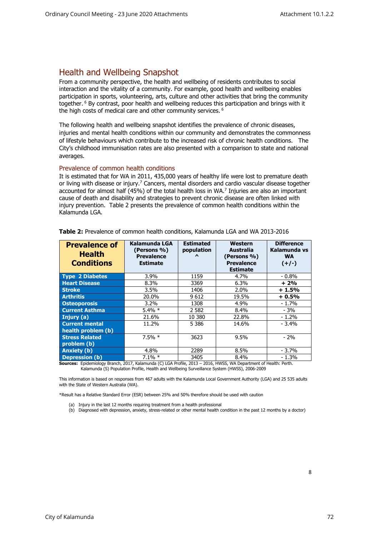### <span id="page-8-0"></span>Health and Wellbeing Snapshot

From a community perspective, the health and wellbeing of residents contributes to social interaction and the vitality of a community. For example, good health and wellbeing enables participation in sports, volunteering, arts, culture and other activities that bring the community together. <sup>6</sup> By contrast, poor health and wellbeing reduces this participation and brings with it the high costs of medical care and other community services.  $6$ 

The following health and wellbeing snapshot identifies the prevalence of chronic diseases, injuries and mental health conditions within our community and demonstrates the commonness of lifestyle behaviours which contribute to the increased risk of chronic health conditions. The City's childhood immunisation rates are also presented with a comparison to state and national averages.

#### <span id="page-8-1"></span>Prevalence of common health conditions

It is estimated that for WA in 2011, 435,000 years of healthy life were lost to premature death or living with disease or injury.<sup>7</sup> Cancers, mental disorders and cardio vascular disease together accounted for almost half (45%) of the total health loss in WA.<sup>7</sup> Injuries are also an important cause of death and disability and strategies to prevent chronic disease are often linked with injury prevention. Table 2 presents the prevalence of common health conditions within the Kalamunda LGA.

| <b>Prevalence of</b><br><b>Health</b><br><b>Conditions</b> | Kalamunda LGA<br>(Persons %)<br><b>Prevalence</b><br><b>Estimate</b> | <b>Estimated</b><br>population<br>$\lambda$ | Western<br>Australia<br>(Persons %)<br><b>Prevalence</b><br><b>Estimate</b> | <b>Difference</b><br>Kalamunda vs<br><b>WA</b><br>$(+/-)$ |
|------------------------------------------------------------|----------------------------------------------------------------------|---------------------------------------------|-----------------------------------------------------------------------------|-----------------------------------------------------------|
| <b>Type 2 Diabetes</b>                                     | $3.9\%$                                                              | 1159                                        | 4.7%                                                                        | $-0.8\%$                                                  |
| <b>Heart Disease</b>                                       | 8.3%                                                                 | 3369                                        | 6.3%                                                                        | $+2%$                                                     |
| <b>Stroke</b>                                              | $3.5\%$                                                              | 1406                                        | $2.0\%$                                                                     | $+1.5%$                                                   |
| <b>Arthritis</b>                                           | 20.0%                                                                | 9612                                        | 19.5%                                                                       | $+0.5%$                                                   |
| <b>Osteoporosis</b>                                        | $3.2\%$                                                              | 1308                                        | 4.9%                                                                        | $-1.7%$                                                   |
| <b>Current Asthma</b>                                      | $5.4\% *$                                                            | 2 5 8 2                                     | 8.4%                                                                        | $-3%$                                                     |
| Injury (a)                                                 | 21.6%                                                                | 10 380                                      | 22.8%                                                                       | $-1.2%$                                                   |
| <b>Current mental</b><br>health problem (b)                | 11.2%                                                                | 5 3 8 6                                     | 14.6%                                                                       | $-3.4%$                                                   |
| <b>Stress Related</b><br>problem (b)                       | $7.5%$ *                                                             | 3623                                        | 9.5%                                                                        | $-2%$                                                     |
| <b>Anxiety</b> (b)                                         | 4.8%                                                                 | 2289                                        | 8.5%                                                                        | $-3.7%$                                                   |
| <b>Depression (b)</b>                                      | $7.1\% *$                                                            | 3405                                        | 8.4%                                                                        | $-1.3%$                                                   |

**Table 2:** Prevalence of common health conditions, Kalamunda LGA and WA 2013-2016

**Sources:** Epidemiology Branch, 2017, Kalamunda (C) LGA Profile, 2013 – 2016, HWSS, WA Department of Health: Perth. Kalamunda (S) Population Profile, Health and Wellbeing Surveillance System (HWSS), 2006-2009

This information is based on responses from 467 adults with the Kalamunda Local Government Authority (LGA) and 25 535 adults with the State of Western Australia (WA).

\*Result has a Relative Standard Error (ESR) between 25% and 50% therefore should be used with caution

- (a) Injury in the last 12 months requiring treatment from a health professional
- (b) Diagnosed with depression, anxiety, stress-related or other mental health condition in the past 12 months by a doctor)

8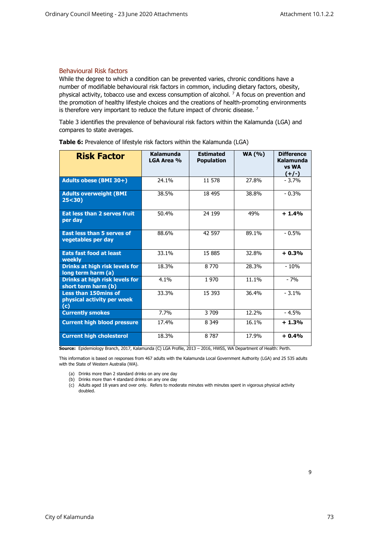#### <span id="page-9-0"></span>Behavioural Risk factors

While the degree to which a condition can be prevented varies, chronic conditions have a number of modifiable behavioural risk factors in common, including dietary factors, obesity, physical activity, tobacco use and excess consumption of alcohol.  $7$  A focus on prevention and the promotion of healthy lifestyle choices and the creations of health-promoting environments is therefore very important to reduce the future impact of chronic disease.<sup>7</sup>

Table 3 identifies the prevalence of behavioural risk factors within the Kalamunda (LGA) and compares to state averages.

| <b>Risk Factor</b>                                               | Kalamunda<br>LGA Area % | <b>Estimated</b><br><b>Population</b> | <b>WA (%)</b> | <b>Difference</b><br>Kalamunda<br>vs WA<br>$(+/-)$ |
|------------------------------------------------------------------|-------------------------|---------------------------------------|---------------|----------------------------------------------------|
| Adults obese (BMI 30+)                                           | 24.1%                   | 11 578                                | 27.8%         | $-3.7%$                                            |
| <b>Adults overweight (BMI</b><br>25 < 30                         | 38.5%                   | 18 495                                | 38.8%         | $-0.3%$                                            |
| Eat less than 2 serves fruit<br>per day                          | 50.4%                   | 24 199                                | 49%           | $+1.4%$                                            |
| <b>East less than 5 serves of</b><br>vegetables per day          | 88.6%                   | 42 597                                | 89.1%         | $-0.5%$                                            |
| <b>Eats fast food at least</b><br>weekly                         | 33.1%                   | 15 885                                | 32.8%         | $+0.3%$                                            |
| Drinks at high risk levels for<br>long term harm (a)             | 18.3%                   | 8 7 7 0                               | 28.3%         | $-10%$                                             |
| <b>Drinks at high risk levels for</b><br>short term harm (b)     | 4.1%                    | 1970                                  | 11.1%         | $-7%$                                              |
| <b>Less than 150mins of</b><br>physical activity per week<br>(c) | 33.3%                   | 15 3 93                               | 36.4%         | $-3.1%$                                            |
| <b>Currently smokes</b>                                          | 7.7%                    | 3 709                                 | 12.2%         | $-4.5%$                                            |
| <b>Current high blood pressure</b>                               | 17.4%                   | 8 3 4 9                               | 16.1%         | $+1.3%$                                            |
| <b>Current high cholesterol</b>                                  | 18.3%                   | 8 7 8 7                               | 17.9%         | $+0.4%$                                            |

**Table 6:** Prevalence of lifestyle risk factors within the Kalamunda (LGA)

**Source:** Epidemiology Branch, 2017, Kalamunda (C) LGA Profile, 2013 – 2016, HWSS, WA Department of Health: Perth.

This information is based on responses from 467 adults with the Kalamunda Local Government Authority (LGA) and 25 535 adults with the State of Western Australia (WA).

- (a) Drinks more than 2 standard drinks on any one day
- (b) Drinks more than 4 standard drinks on any one day
- (c) Adults aged 18 years and over only. Refers to moderate minutes with minutes spent in vigorous physical activity doubled.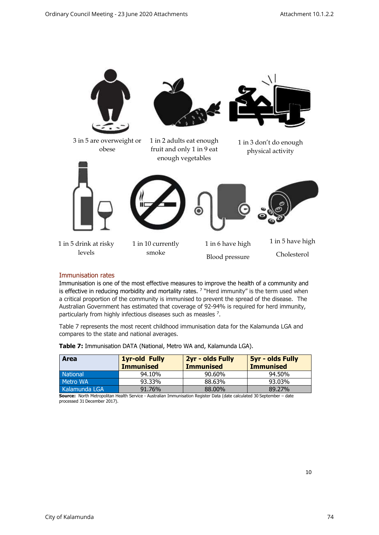

#### <span id="page-10-0"></span>Immunisation rates

Immunisation is one of the most effective measures to improve the health of a community and is effective in reducing morbidity and mortality rates. <sup>7</sup> "Herd immunity" is the term used when a critical proportion of the community is immunised to prevent the spread of the disease. The Australian Government has estimated that coverage of 92-94% is required for herd immunity, particularly from highly infectious diseases such as measles <sup>7</sup>.

Table 7 represents the most recent childhood immunisation data for the Kalamunda LGA and compares to the state and national averages.

| <b>Area</b>     | <b>1yr-old Fully</b><br><b>Immunised</b> | 2yr - olds Fully<br><b>Immunised</b> | <b>5yr - olds Fully</b><br><b>Immunised</b> |
|-----------------|------------------------------------------|--------------------------------------|---------------------------------------------|
| <b>National</b> | 94.10%                                   | 90.60%                               | 94.50%                                      |
| Metro WA        | 93.33%                                   | 88.63%                               | 93.03%                                      |
| Kalamunda LGA   | 91.76%                                   | 88,00%                               | 89.27%                                      |

**Table 7:** Immunisation DATA (National, Metro WA and, Kalamunda LGA).

**Source:** North Metropolitan Health Service - Australian Immunisation Register Data (date calculated 30 September – date processed 31 December 2017).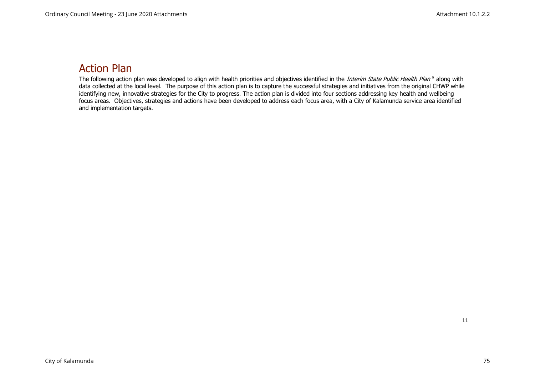## Action Plan

<span id="page-11-0"></span>The following action plan was developed to align with health priorities and objectives identified in the *Interim State Public Health Plan* <sup>9</sup> along with data collected at the local level. The purpose of this action plan is to capture the successful strategies and initiatives from the original CHWP while identifying new, innovative strategies for the City to progress. The action plan is divided into four sections addressing key health and wellbeing focus areas. Objectives, strategies and actions have been developed to address each focus area, with a City of Kalamunda service area identified and implementation targets.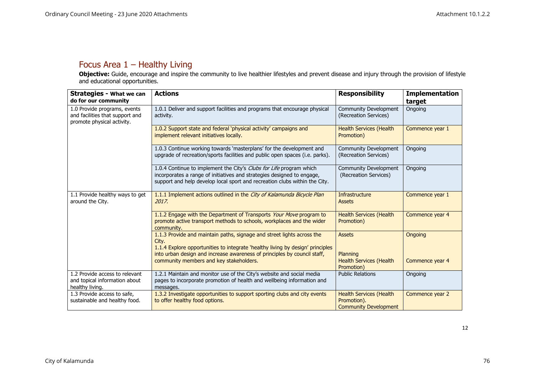### Focus Area 1 – Healthy Living

**Objective:** Guide, encourage and inspire the community to live healthier lifestyles and prevent disease and injury through the provision of lifestyle and educational opportunities.

<span id="page-12-0"></span>

| <b>Strategies - What we can</b><br>do for our community                                       | <b>Actions</b>                                                                                                                                                                                                              | <b>Responsibility</b>                                                         | <b>Implementation</b><br>target |
|-----------------------------------------------------------------------------------------------|-----------------------------------------------------------------------------------------------------------------------------------------------------------------------------------------------------------------------------|-------------------------------------------------------------------------------|---------------------------------|
| 1.0 Provide programs, events<br>and facilities that support and<br>promote physical activity. | 1.0.1 Deliver and support facilities and programs that encourage physical<br>activity.                                                                                                                                      | Community Development<br>(Recreation Services)                                | Ongoing                         |
|                                                                                               | 1.0.2 Support state and federal 'physical activity' campaigns and<br>implement relevant initiatives locally.                                                                                                                | <b>Health Services (Health</b><br>Promotion)                                  | Commence year 1                 |
|                                                                                               | 1.0.3 Continue working towards 'masterplans' for the development and<br>upgrade of recreation/sports facilities and public open spaces (i.e. parks).                                                                        | Community Development<br>(Recreation Services)                                | Ongoing                         |
|                                                                                               | 1.0.4 Continue to implement the City's Clubs for Life program which<br>incorporates a range of initiatives and strategies designed to engage,<br>support and help develop local sport and recreation clubs within the City. | Community Development<br>(Recreation Services)                                | Ongoing                         |
| 1.1 Provide healthy ways to get<br>around the City.                                           | 1.1.1 Implement actions outlined in the City of Kalamunda Bicycle Plan<br>2017.                                                                                                                                             | Infrastructure<br><b>Assets</b>                                               | Commence year 1                 |
|                                                                                               | 1.1.2 Engage with the Department of Transports Your Move program to<br>promote active transport methods to schools, workplaces and the wider<br>community.                                                                  | <b>Health Services (Health</b><br>Promotion)                                  | Commence year 4                 |
|                                                                                               | 1.1.3 Provide and maintain paths, signage and street lights across the<br>City.<br>1.1.4 Explore opportunities to integrate 'healthy living by design' principles                                                           | <b>Assets</b>                                                                 | Ongoing                         |
|                                                                                               | into urban design and increase awareness of principles by council staff,<br>community members and key stakeholders.                                                                                                         | Planning<br><b>Health Services (Health</b><br>Promotion)                      | Commence year 4                 |
| 1.2 Provide access to relevant<br>and topical information about<br>healthy living.            | 1.2.1 Maintain and monitor use of the City's website and social media<br>pages to incorporate promotion of health and wellbeing information and<br>messages.                                                                | <b>Public Relations</b>                                                       | Ongoing                         |
| 1.3 Provide access to safe,<br>sustainable and healthy food.                                  | 1.3.2 Investigate opportunities to support sporting clubs and city events<br>to offer healthy food options.                                                                                                                 | <b>Health Services (Health</b><br>Promotion).<br><b>Community Development</b> | Commence year 2                 |

12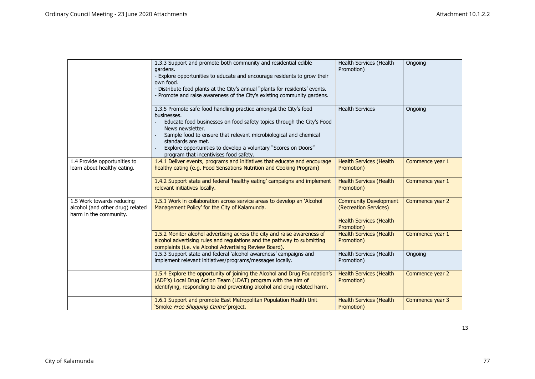|                                                                                         | 1.3.3 Support and promote both community and residential edible<br>gardens.<br>- Explore opportunities to educate and encourage residents to grow their<br>own food.<br>- Distribute food plants at the City's annual "plants for residents' events.<br>- Promote and raise awareness of the City's existing community gardens.                                                     | Health Services (Health<br>Promotion)                                                                 | Ongoing         |
|-----------------------------------------------------------------------------------------|-------------------------------------------------------------------------------------------------------------------------------------------------------------------------------------------------------------------------------------------------------------------------------------------------------------------------------------------------------------------------------------|-------------------------------------------------------------------------------------------------------|-----------------|
|                                                                                         | 1.3.5 Promote safe food handling practice amongst the City's food<br>businesses.<br>Educate food businesses on food safety topics through the City's Food<br>News newsletter.<br>Sample food to ensure that relevant microbiological and chemical<br>standards are met.<br>Explore opportunities to develop a voluntary "Scores on Doors"<br>program that incentivises food safety. | <b>Health Services</b>                                                                                | Ongoing         |
| 1.4 Provide opportunities to<br>learn about healthy eating.                             | 1.4.1 Deliver events, programs and initiatives that educate and encourage<br>healthy eating (e.g. Food Sensations Nutrition and Cooking Program)                                                                                                                                                                                                                                    | <b>Health Services (Health</b><br>Promotion)                                                          | Commence year 1 |
|                                                                                         | 1.4.2 Support state and federal 'healthy eating' campaigns and implement<br>relevant initiatives locally.                                                                                                                                                                                                                                                                           | <b>Health Services (Health</b><br>Promotion)                                                          | Commence year 1 |
| 1.5 Work towards reducing<br>alcohol (and other drug) related<br>harm in the community. | 1.5.1 Work in collaboration across service areas to develop an 'Alcohol<br>Management Policy' for the City of Kalamunda.                                                                                                                                                                                                                                                            | <b>Community Development</b><br>(Recreation Services)<br><b>Health Services (Health</b><br>Promotion) | Commence year 2 |
|                                                                                         | 1.5.2 Monitor alcohol advertising across the city and raise awareness of<br>alcohol advertising rules and regulations and the pathway to submitting<br>complaints (i.e. via Alcohol Advertising Review Board).                                                                                                                                                                      | <b>Health Services (Health</b><br>Promotion)                                                          | Commence year 1 |
|                                                                                         | 1.5.3 Support state and federal 'alcohol awareness' campaigns and<br>implement relevant initiatives/programs/messages locally.                                                                                                                                                                                                                                                      | Health Services (Health<br>Promotion)                                                                 | Ongoing         |
|                                                                                         | 1.5.4 Explore the opportunity of joining the Alcohol and Drug Foundation's<br>(ADF's) Local Drug Action Team (LDAT) program with the aim of<br>identifying, responding to and preventing alcohol and drug related harm.                                                                                                                                                             | <b>Health Services (Health</b><br>Promotion)                                                          | Commence year 2 |
|                                                                                         | 1.6.1 Support and promote East Metropolitan Population Health Unit<br>'Smoke Free Shopping Centre' project.                                                                                                                                                                                                                                                                         | <b>Health Services (Health</b><br>Promotion)                                                          | Commence year 3 |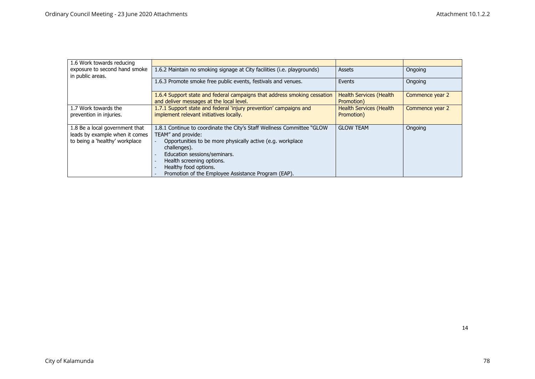| 1.6 Work towards reducing                         |                                                                                                                      |                                              |                 |
|---------------------------------------------------|----------------------------------------------------------------------------------------------------------------------|----------------------------------------------|-----------------|
| exposure to second hand smoke<br>in public areas. | 1.6.2 Maintain no smoking signage at City facilities (i.e. playgrounds)                                              | Assets                                       | Ongoing         |
|                                                   | 1.6.3 Promote smoke free public events, festivals and venues.                                                        | Events                                       | Ongoing         |
|                                                   | 1.6.4 Support state and federal campaigns that address smoking cessation<br>and deliver messages at the local level. | <b>Health Services (Health</b><br>Promotion) | Commence year 2 |
| 1.7 Work towards the                              | 1.7.1 Support state and federal 'injury prevention' campaigns and                                                    | <b>Health Services (Health</b>               | Commence year 2 |
| prevention in injuries.                           | implement relevant initiatives locally.                                                                              | Promotion)                                   |                 |
| 1.8 Be a local government that                    | 1.8.1 Continue to coordinate the City's Staff Wellness Committee "GLOW"                                              | <b>GLOW TEAM</b>                             | Ongoing         |
| leads by example when it comes                    | TEAM" and provide:                                                                                                   |                                              |                 |
| to being a 'healthy' workplace                    | Opportunities to be more physically active (e.g. workplace<br>challenges).                                           |                                              |                 |
|                                                   | Education sessions/seminars.                                                                                         |                                              |                 |
|                                                   | Health screening options.                                                                                            |                                              |                 |
|                                                   | Healthy food options.                                                                                                |                                              |                 |
|                                                   | Promotion of the Employee Assistance Program (EAP).                                                                  |                                              |                 |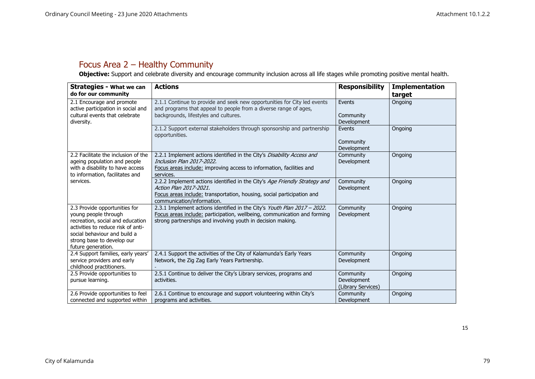### Focus Area 2 – Healthy Community

**Objective:** Support and celebrate diversity and encourage community inclusion across all life stages while promoting positive mental health.

<span id="page-15-0"></span>

| <b>Strategies - What we can</b><br>do for our community                                                                                                                                                             | <b>Actions</b>                                                                                                                                                                                                      | <b>Responsibility</b>                          | <b>Implementation</b><br>target |
|---------------------------------------------------------------------------------------------------------------------------------------------------------------------------------------------------------------------|---------------------------------------------------------------------------------------------------------------------------------------------------------------------------------------------------------------------|------------------------------------------------|---------------------------------|
| 2.1 Encourage and promote<br>active participation in social and<br>cultural events that celebrate<br>diversity.                                                                                                     | 2.1.1 Continue to provide and seek new opportunities for City led events<br>and programs that appeal to people from a diverse range of ages,<br>backgrounds, lifestyles and cultures.                               | Events<br>Community<br>Development             | Ongoing                         |
|                                                                                                                                                                                                                     | 2.1.2 Support external stakeholders through sponsorship and partnership<br>opportunities.                                                                                                                           | Events<br>Community<br>Development             | Ongoing                         |
| 2.2 Facilitate the inclusion of the<br>ageing population and people<br>with a disability to have access<br>to information, facilitates and                                                                          | 2.2.1 Implement actions identified in the City's Disability Access and<br>Inclusion Plan 2017-2022.<br>Focus areas include: improving access to information, facilities and<br>services.                            | Community<br>Development                       | Ongoing                         |
| services.                                                                                                                                                                                                           | 2.2.2 Implement actions identified in the City's Age Friendly Strategy and<br>Action Plan 2017-2021.<br>Focus areas include: transportation, housing, social participation and<br>communication/information.        | Community<br>Development                       | Ongoing                         |
| 2.3 Provide opportunities for<br>young people through<br>recreation, social and education<br>activities to reduce risk of anti-<br>social behaviour and build a<br>strong base to develop our<br>future generation. | 2.3.1 Implement actions identified in the City's Youth Plan 2017 - 2022.<br>Focus areas include: participation, wellbeing, communication and forming<br>strong partnerships and involving youth in decision making. | Community<br>Development                       | Ongoing                         |
| 2.4 Support families, early years'<br>service providers and early<br>childhood practitioners.                                                                                                                       | 2.4.1 Support the activities of the City of Kalamunda's Early Years<br>Network, the Zig Zag Early Years Partnership.                                                                                                | Community<br>Development                       | Ongoing                         |
| 2.5 Provide opportunities to<br>pursue learning.                                                                                                                                                                    | 2.5.1 Continue to deliver the City's Library services, programs and<br>activities.                                                                                                                                  | Community<br>Development<br>(Library Services) | Ongoing                         |
| 2.6 Provide opportunities to feel<br>connected and supported within                                                                                                                                                 | 2.6.1 Continue to encourage and support volunteering within City's<br>programs and activities.                                                                                                                      | Community<br>Development                       | Ongoing                         |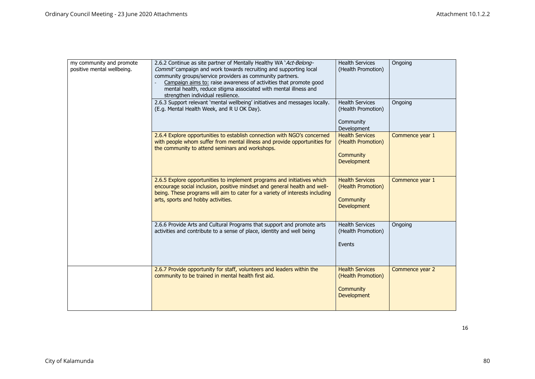| my community and promote<br>positive mental wellbeing. | 2.6.2 Continue as site partner of Mentally Healthy WA 'Act-Belong-<br>Commit' campaign and work towards recruiting and supporting local<br>community groups/service providers as community partners.<br>Campaign aims to: raise awareness of activities that promote good<br>mental health, reduce stigma associated with mental illness and<br>strengthen individual resilience.<br>2.6.3 Support relevant `mental wellbeing' initiatives and messages locally.<br>(E.g. Mental Health Week, and R U OK Day). | <b>Health Services</b><br>(Health Promotion)<br><b>Health Services</b><br>(Health Promotion) | Ongoing<br>Ongoing |
|--------------------------------------------------------|----------------------------------------------------------------------------------------------------------------------------------------------------------------------------------------------------------------------------------------------------------------------------------------------------------------------------------------------------------------------------------------------------------------------------------------------------------------------------------------------------------------|----------------------------------------------------------------------------------------------|--------------------|
|                                                        |                                                                                                                                                                                                                                                                                                                                                                                                                                                                                                                | Community<br>Development                                                                     |                    |
|                                                        | 2.6.4 Explore opportunities to establish connection with NGO's concerned<br>with people whom suffer from mental illness and provide opportunities for<br>the community to attend seminars and workshops.                                                                                                                                                                                                                                                                                                       | <b>Health Services</b><br>(Health Promotion)<br>Community<br><b>Development</b>              | Commence year 1    |
|                                                        | 2.6.5 Explore opportunities to implement programs and initiatives which<br>encourage social inclusion, positive mindset and general health and well-<br>being. These programs will aim to cater for a variety of interests including<br>arts, sports and hobby activities.                                                                                                                                                                                                                                     | <b>Health Services</b><br>(Health Promotion)<br>Community<br><b>Development</b>              | Commence year 1    |
|                                                        | 2.6.6 Provide Arts and Cultural Programs that support and promote arts<br>activities and contribute to a sense of place, identity and well being                                                                                                                                                                                                                                                                                                                                                               | <b>Health Services</b><br>(Health Promotion)<br>Events                                       | Ongoing            |
|                                                        | 2.6.7 Provide opportunity for staff, volunteers and leaders within the<br>community to be trained in mental health first aid.                                                                                                                                                                                                                                                                                                                                                                                  | <b>Health Services</b><br>(Health Promotion)<br>Community<br>Development                     | Commence year 2    |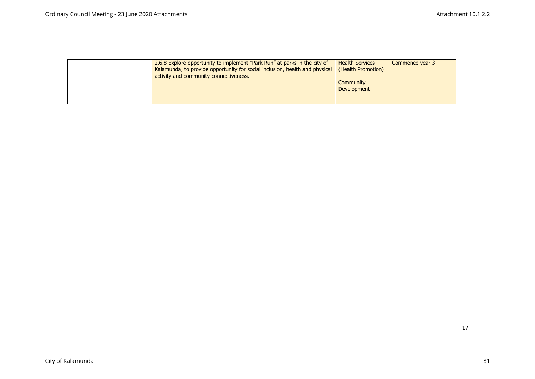| 2.6.8 Explore opportunity to implement "Park Run" at parks in the city of<br>Kalamunda, to provide opportunity for social inclusion, health and physical<br>activity and community connectiveness. | <b>Health Services</b><br>(Health Promotion) | Commence year 3 |
|----------------------------------------------------------------------------------------------------------------------------------------------------------------------------------------------------|----------------------------------------------|-----------------|
|                                                                                                                                                                                                    | Community<br><b>Development</b>              |                 |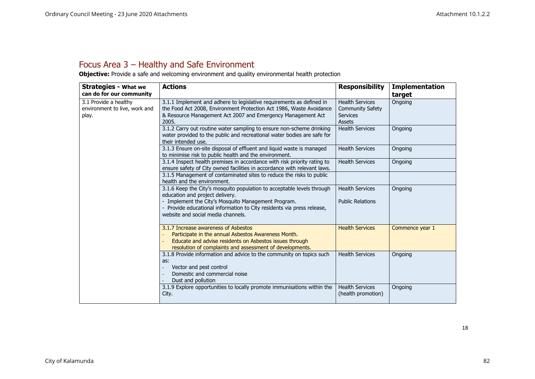### Focus Area 3 – Healthy and Safe Environment

**Objective:** Provide a safe and welcoming environment and quality environmental health protection

<span id="page-18-0"></span>

| <b>Strategies - What we</b>                                     | <b>Actions</b>                                                                                                                                                                                                      | <b>Responsibility</b>                                                          | <b>Implementation</b> |
|-----------------------------------------------------------------|---------------------------------------------------------------------------------------------------------------------------------------------------------------------------------------------------------------------|--------------------------------------------------------------------------------|-----------------------|
| can do for our community                                        |                                                                                                                                                                                                                     |                                                                                | target                |
| 3.1 Provide a healthy<br>environment to live, work and<br>play. | 3.1.1 Implement and adhere to legislative requirements as defined in<br>the Food Act 2008, Environment Protection Act 1986, Waste Avoidance<br>& Resource Management Act 2007 and Emergency Management Act<br>2005. | <b>Health Services</b><br><b>Community Safety</b><br><b>Services</b><br>Assets | Ongoing               |
|                                                                 | 3.1.2 Carry out routine water sampling to ensure non-scheme drinking<br>water provided to the public and recreational water bodies are safe for<br>their intended use.                                              | <b>Health Services</b>                                                         | Ongoing               |
|                                                                 | 3.1.3 Ensure on-site disposal of effluent and liquid waste is managed<br>to minimise risk to public health and the environment.                                                                                     | <b>Health Services</b>                                                         | Ongoing               |
|                                                                 | 3.1.4 Inspect health premises in accordance with risk priority rating to<br>ensure safety of City owned facilities in accordance with relevant laws.                                                                | <b>Health Services</b>                                                         | Ongoing               |
|                                                                 | 3.1.5 Management of contaminated sites to reduce the risks to public<br>health and the environment.                                                                                                                 |                                                                                |                       |
|                                                                 | 3.1.6 Keep the City's mosquito population to acceptable levels through<br>education and project delivery.                                                                                                           | <b>Health Services</b>                                                         | Ongoing               |
|                                                                 | - Implement the City's Mosquito Management Program.<br>- Provide educational information to City residents via press release,<br>website and social media channels.                                                 | <b>Public Relations</b>                                                        |                       |
|                                                                 | 3.1.7 Increase awareness of Asbestos<br>Participate in the annual Asbestos Awareness Month.<br>Educate and advise residents on Asbestos issues through<br>resolution of complaints and assessment of developments.  | <b>Health Services</b>                                                         | Commence year 1       |
|                                                                 | 3.1.8 Provide information and advice to the community on topics such<br>as:<br>Vector and pest control<br>Domestic and commercial noise<br>Dust and pollution                                                       | <b>Health Services</b>                                                         | Ongoing               |
|                                                                 | 3.1.9 Explore opportunities to locally promote immunisations within the<br>City.                                                                                                                                    | <b>Health Services</b><br>(health promotion)                                   | Ongoing               |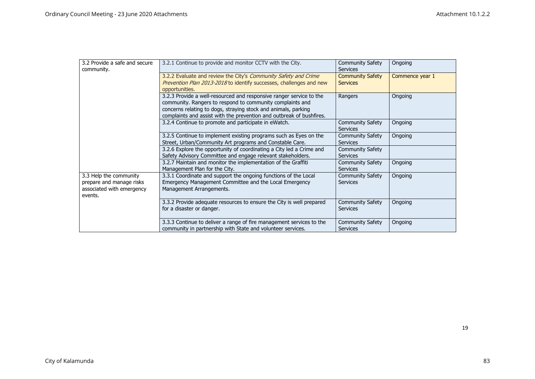| 3.2 Provide a safe and secure<br>community.                                                | 3.2.1 Continue to provide and monitor CCTV with the City.                                                                                                                                                                                                                  | <b>Community Safety</b><br><b>Services</b> | Ongoing         |
|--------------------------------------------------------------------------------------------|----------------------------------------------------------------------------------------------------------------------------------------------------------------------------------------------------------------------------------------------------------------------------|--------------------------------------------|-----------------|
|                                                                                            | 3.2.2 Evaluate and review the City's Community Safety and Crime<br>Prevention Plan 2013-2018 to identify successes, challenges and new<br>opportunities.                                                                                                                   | <b>Community Safety</b><br><b>Services</b> | Commence year 1 |
|                                                                                            | 3.2.3 Provide a well-resourced and responsive ranger service to the<br>community. Rangers to respond to community complaints and<br>concerns relating to dogs, straying stock and animals, parking<br>complaints and assist with the prevention and outbreak of bushfires. | Rangers                                    | Ongoing         |
|                                                                                            | 3.2.4 Continue to promote and participate in eWatch.                                                                                                                                                                                                                       | <b>Community Safety</b><br><b>Services</b> | Ongoing         |
|                                                                                            | 3.2.5 Continue to implement existing programs such as Eyes on the<br>Street, Urban/Community Art programs and Constable Care.                                                                                                                                              | <b>Community Safety</b><br><b>Services</b> | Ongoing         |
|                                                                                            | 3.2.6 Explore the opportunity of coordinating a City led a Crime and<br>Safety Advisory Committee and engage relevant stakeholders.                                                                                                                                        | <b>Community Safety</b><br><b>Services</b> |                 |
|                                                                                            | 3.2.7 Maintain and monitor the implementation of the Graffiti<br>Management Plan for the City.                                                                                                                                                                             | <b>Community Safety</b><br><b>Services</b> | Ongoing         |
| 3.3 Help the community<br>prepare and manage risks<br>associated with emergency<br>events. | 3.3.1 Coordinate and support the ongoing functions of the Local<br>Emergency Management Committee and the Local Emergency<br>Management Arrangements.                                                                                                                      | <b>Community Safety</b><br><b>Services</b> | Ongoing         |
|                                                                                            | 3.3.2 Provide adequate resources to ensure the City is well prepared<br>for a disaster or danger.                                                                                                                                                                          | <b>Community Safety</b><br><b>Services</b> | Ongoing         |
|                                                                                            | 3.3.3 Continue to deliver a range of fire management services to the<br>community in partnership with State and volunteer services.                                                                                                                                        | <b>Community Safety</b><br><b>Services</b> | Ongoing         |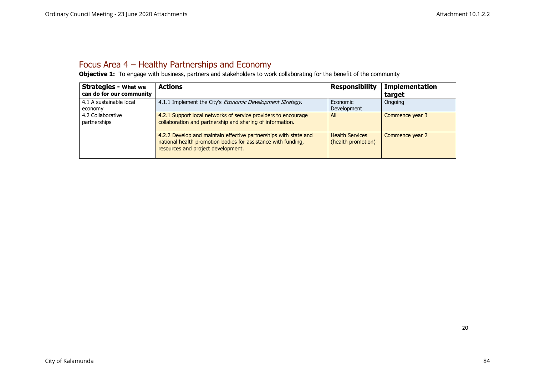### Focus Area 4 – Healthy Partnerships and Economy

**Objective 1:** To engage with business, partners and stakeholders to work collaborating for the benefit of the community

<span id="page-20-0"></span>

| <b>Strategies - What we</b><br>can do for our community | <b>Actions</b>                                                                                                                                                          | <b>Responsibility</b>                        | <b>Implementation</b><br>target |
|---------------------------------------------------------|-------------------------------------------------------------------------------------------------------------------------------------------------------------------------|----------------------------------------------|---------------------------------|
| 4.1 A sustainable local<br>economy                      | 4.1.1 Implement the City's <i>Economic Development Strategy</i> .                                                                                                       | Economic<br><b>Development</b>               | Ongoing                         |
| 4.2 Collaborative<br>partnerships                       | 4.2.1 Support local networks of service providers to encourage<br>collaboration and partnership and sharing of information.                                             | All                                          | Commence year 3                 |
|                                                         | 4.2.2 Develop and maintain effective partnerships with state and<br>national health promotion bodies for assistance with funding,<br>resources and project development. | <b>Health Services</b><br>(health promotion) | Commence year 2                 |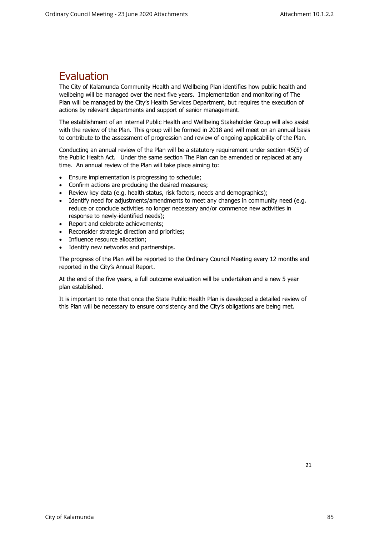### <span id="page-21-0"></span>Evaluation

The City of Kalamunda Community Health and Wellbeing Plan identifies how public health and wellbeing will be managed over the next five years. Implementation and monitoring of The Plan will be managed by the City's Health Services Department, but requires the execution of actions by relevant departments and support of senior management.

The establishment of an internal Public Health and Wellbeing Stakeholder Group will also assist with the review of the Plan. This group will be formed in 2018 and will meet on an annual basis to contribute to the assessment of progression and review of ongoing applicability of the Plan.

Conducting an annual review of the Plan will be a statutory requirement under section 45(5) of the Public Health Act. Under the same section The Plan can be amended or replaced at any time. An annual review of the Plan will take place aiming to:

- Ensure implementation is progressing to schedule;
- Confirm actions are producing the desired measures;
- Review key data (e.g. health status, risk factors, needs and demographics);
- Identify need for adjustments/amendments to meet any changes in community need (e.g. reduce or conclude activities no longer necessary and/or commence new activities in response to newly-identified needs);
- Report and celebrate achievements;
- Reconsider strategic direction and priorities;
- Influence resource allocation;
- Identify new networks and partnerships.

The progress of the Plan will be reported to the Ordinary Council Meeting every 12 months and reported in the City's Annual Report.

At the end of the five years, a full outcome evaluation will be undertaken and a new 5 year plan established.

It is important to note that once the State Public Health Plan is developed a detailed review of this Plan will be necessary to ensure consistency and the City's obligations are being met.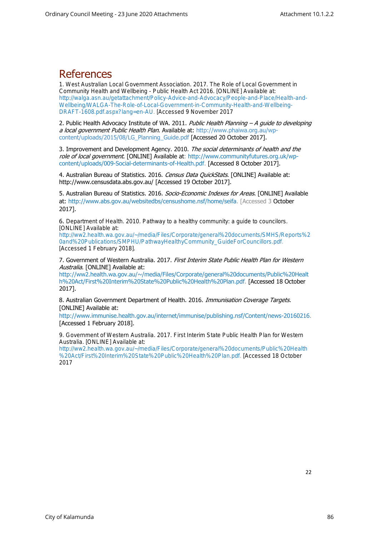### <span id="page-22-0"></span>**References**

1. West Australian Local Government Association. 2017. *The Role of Local Government in Community Health and Wellbeing - Public Health Act 2016*. [ONLINE] Available at: [http://walga.asn.au/getattachment/Policy-Advice-and-Advocacy/People-and-Place/Health-and-](http://walga.asn.au/getattachment/Policy-Advice-and-Advocacy/People-and-Place/Health-and-Wellbeing/WALGA-The-Role-of-Local-Government-in-Community-Health-and-Wellbeing-DRAFT-1608.pdf.aspx?lang=en-AU)[Wellbeing/WALGA-The-Role-of-Local-Government-in-Community-Health-and-Wellbeing-](http://walga.asn.au/getattachment/Policy-Advice-and-Advocacy/People-and-Place/Health-and-Wellbeing/WALGA-The-Role-of-Local-Government-in-Community-Health-and-Wellbeing-DRAFT-1608.pdf.aspx?lang=en-AU)[DRAFT-1608.pdf.aspx?lang=en-AU.](http://walga.asn.au/getattachment/Policy-Advice-and-Advocacy/People-and-Place/Health-and-Wellbeing/WALGA-The-Role-of-Local-Government-in-Community-Health-and-Wellbeing-DRAFT-1608.pdf.aspx?lang=en-AU) [Accessed 9 November 2017

2. Public Health Advocacy Institute of WA. 2011. Public Health Planning - A quide to developing a local government Public Health Plan. Available at: [http://www.phaiwa.org.au/wp](http://www.phaiwa.org.au/wp-content/uploads/2015/08/LG_Planning_Guide.pdf)[content/uploads/2015/08/LG\\_Planning\\_Guide.pdf](http://www.phaiwa.org.au/wp-content/uploads/2015/08/LG_Planning_Guide.pdf) [Accessed 20 October 2017].

3. Improvement and Development Agency. 2010. The social determinants of health and the role of local government. [ONLINE] Available at: [http://www.communityfutures.org.uk/wp](http://www.communityfutures.org.uk/wp-content/uploads/009-Social-determinants-of-Health.pdf)[content/uploads/009-Social-determinants-of-Health.pdf.](http://www.communityfutures.org.uk/wp-content/uploads/009-Social-determinants-of-Health.pdf) [Accessed 8 October 2017].

4. Australian Bureau of Statistics. 2016. Census Data QuickStats. [ONLINE] Available at: [http://www.censusdata.abs.gov.au/](http://www.censusdata.abs.gov.au/census_services/getproduct/census/2016/quickstat/50605?opendocument) [Accessed 19 October 2017].

5. Australian Bureau of Statistics. 2016. Socio-Economic Indexes for Areas. [ONLINE] Available at: [http://www.abs.gov.au/websitedbs/censushome.nsf/home/seifa.](http://www.abs.gov.au/websitedbs/censushome.nsf/home/seifa) [Accessed 3 October 2017].

6. Department of Health. 2010. *Pathway to a healthy community: a guide to councilors*. [ONLINE] Available at:

[http://ww2.health.wa.gov.au/~/media/Files/Corporate/general%20documents/SMHS/Reports%2](http://ww2.health.wa.gov.au/~/media/Files/Corporate/general%20documents/SMHS/Reports%20and%20Publications/SMPHU/PathwayHealthyCommunity_GuideForCouncillors.pdf) [0and%20Publications/SMPHU/PathwayHealthyCommunity\\_GuideForCouncillors.pdf.](http://ww2.health.wa.gov.au/~/media/Files/Corporate/general%20documents/SMHS/Reports%20and%20Publications/SMPHU/PathwayHealthyCommunity_GuideForCouncillors.pdf) [Accessed 1 February 2018].

7. Government of Western Australia. 2017. First Interim State Public Health Plan for Western Australia. [ONLINE] Available at:

[http://ww2.health.wa.gov.au/~/media/Files/Corporate/general%20documents/Public%20Healt](http://ww2.health.wa.gov.au/~/media/Files/Corporate/general%20documents/Public%20Health%20Act/First%20Interim%20State%20Public%20Health%20Plan.pdf) [h%20Act/First%20Interim%20State%20Public%20Health%20Plan.pdf.](http://ww2.health.wa.gov.au/~/media/Files/Corporate/general%20documents/Public%20Health%20Act/First%20Interim%20State%20Public%20Health%20Plan.pdf) [Accessed 18 October 2017].

8. Australian Government Department of Health. 2016. Immunisation Coverage Targets. [ONLINE] Available at:

[http://www.immunise.health.gov.au/internet/immunise/publishing.nsf/Content/news-20160216.](http://www.immunise.health.gov.au/internet/immunise/publishing.nsf/Content/news-20160216) [Accessed 1 February 2018].

9. Government of Western Australia. 2017. *First Interim State Public Health Plan for Western Australia*. [ONLINE] Available at:

[http://ww2.health.wa.gov.au/~/media/Files/Corporate/general%20documents/Public%20Health](http://ww2.health.wa.gov.au/~/media/Files/Corporate/general%20documents/Public%20Health%20Act/First%20Interim%20State%20Public%20Health%20Plan.pdf) [%20Act/First%20Interim%20State%20Public%20Health%20Plan.pdf.](http://ww2.health.wa.gov.au/~/media/Files/Corporate/general%20documents/Public%20Health%20Act/First%20Interim%20State%20Public%20Health%20Plan.pdf) [Accessed 18 October 2017